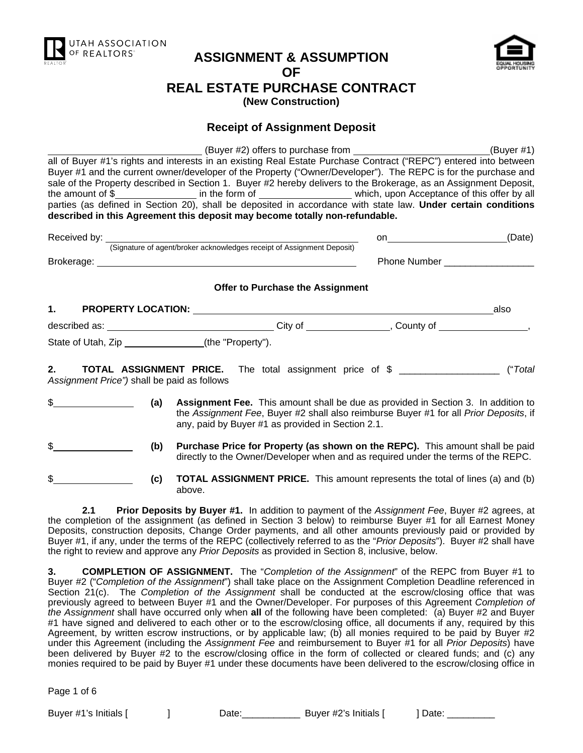

# **ASSIGNMENT & ASSUMPTION OF REAL ESTATE PURCHASE CONTRACT (New Construction)**



# **Receipt of Assignment Deposit**

 (Buyer #2) offers to purchase from (Buyer #1) all of Buyer #1's rights and interests in an existing Real Estate Purchase Contract ("REPC") entered into between Buyer #1 and the current owner/developer of the Property ("Owner/Developer"). The REPC is for the purchase and sale of the Property described in Section 1. Buyer #2 hereby delivers to the Brokerage, as an Assignment Deposit, the amount of \$ in the form of which, upon Acceptance of this offer by all parties (as defined in Section 20), shall be deposited in accordance with state law. **Under certain conditions described in this Agreement this deposit may become totally non-refundable.** 

| Received by: |                                                                        | or                  | (Date) |
|--------------|------------------------------------------------------------------------|---------------------|--------|
|              | (Signature of agent/broker acknowledges receipt of Assignment Deposit) |                     |        |
| Brokerage:   |                                                                        | <b>Phone Number</b> |        |
|              |                                                                        |                     |        |

#### **Offer to Purchase the Assignment**

| <b>PROPERTY LOCATION:</b> |                   |         |           | also |
|---------------------------|-------------------|---------|-----------|------|
| described as:             |                   | City of | County of |      |
| State of Utah, Zip        | (the "Property"). |         |           |      |

**2. TOTAL ASSIGNMENT PRICE.** The total assignment price of \$ \_\_\_\_\_\_\_\_\_\_\_\_\_\_\_\_\_\_\_ ("*Total Assignment Price")* shall be paid as follows

- \$ **(a) Assignment Fee.** This amount shall be due as provided in Section 3. In addition to the *Assignment Fee*, Buyer #2 shall also reimburse Buyer #1 for all *Prior Deposits*, if any, paid by Buyer #1 as provided in Section 2.1.
	- **(b)** Purchase Price for Property (as shown on the REPC). This amount shall be paid directly to the Owner/Developer when and as required under the terms of the REPC.
		- **(c) TOTAL ASSIGNMENT PRICE.** This amount represents the total of lines (a) and (b) above.

 **2.1 Prior Deposits by Buyer #1.** In addition to payment of the *Assignment Fee*, Buyer #2 agrees, at the completion of the assignment (as defined in Section 3 below) to reimburse Buyer #1 for all Earnest Money Deposits, construction deposits, Change Order payments, and all other amounts previously paid or provided by Buyer #1, if any, under the terms of the REPC (collectively referred to as the "*Prior Deposits*"). Buyer #2 shall have the right to review and approve any *Prior Deposits* as provided in Section 8, inclusive, below.

**3. COMPLETION OF ASSIGNMENT.** The "*Completion of the Assignment*" of the REPC from Buyer #1 to Buyer #2 ("*Completion of the Assignment*") shall take place on the Assignment Completion Deadline referenced in Section 21(c). The *Completion of the Assignment* shall be conducted at the escrow/closing office that was previously agreed to between Buyer #1 and the Owner/Developer. For purposes of this Agreement *Completion of the Assignment* shall have occurred only when **all** of the following have been completed: (a) Buyer #2 and Buyer #1 have signed and delivered to each other or to the escrow/closing office, all documents if any, required by this Agreement, by written escrow instructions, or by applicable law; (b) all monies required to be paid by Buyer #2 under this Agreement (including the *Assignment Fee* and reimbursement to Buyer #1 for all *Prior Deposits*) have been delivered by Buyer #2 to the escrow/closing office in the form of collected or cleared funds; and (c) any monies required to be paid by Buyer #1 under these documents have been delivered to the escrow/closing office in

Page 1 of 6

Buyer #1's Initials [ ] Date:\_\_\_\_\_\_\_\_\_\_\_ Buyer #2's Initials [ ] Date: \_\_\_\_\_\_\_\_\_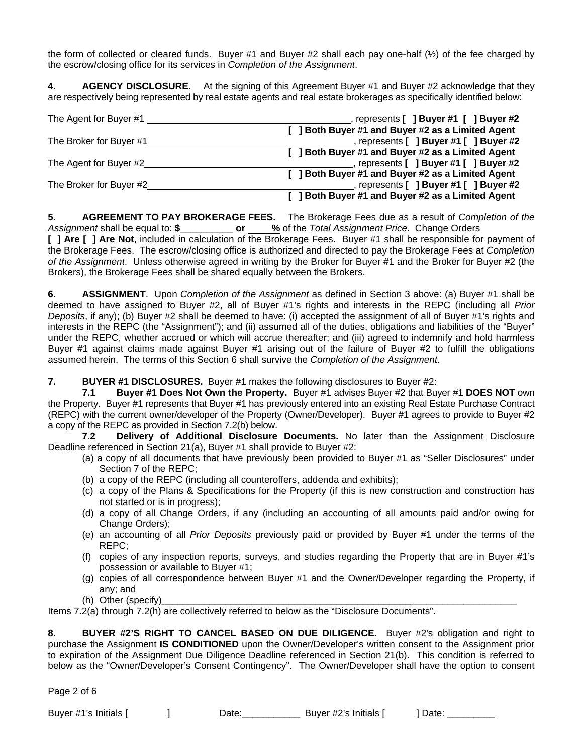the form of collected or cleared funds. Buyer #1 and Buyer #2 shall each pay one-half (½) of the fee charged by the escrow/closing office for its services in *Completion of the Assignment*.

**4. AGENCY DISCLOSURE.** At the signing of this Agreement Buyer #1 and Buyer #2 acknowledge that they are respectively being represented by real estate agents and real estate brokerages as specifically identified below:

| The Agent for Buyer #1  | represents [ ] Buyer #1 [ ] Buyer #2              |
|-------------------------|---------------------------------------------------|
|                         | [ ] Both Buyer #1 and Buyer #2 as a Limited Agent |
| The Broker for Buyer #1 | represents [ ] Buyer #1 [ ] Buyer #2              |
|                         | [ ] Both Buyer #1 and Buyer #2 as a Limited Agent |
| The Agent for Buyer #2  | represents [ ] Buyer #1 [ ] Buyer #2              |
|                         | [ ] Both Buyer #1 and Buyer #2 as a Limited Agent |
| The Broker for Buyer #2 | represents [ ] Buyer #1 [ ] Buyer #2              |
|                         | [ ] Both Buyer #1 and Buyer #2 as a Limited Agent |

**5. AGREEMENT TO PAY BROKERAGE FEES.** The Brokerage Fees due as a result of *Completion of the*  Assignment shall be equal to: \$\_\_\_\_\_\_\_\_\_\_\_\_ or \_\_\_\_ % of the *Total Assignment Price*. Change Orders **[ ] Are [ ] Are Not**, included in calculation of the Brokerage Fees. Buyer #1 shall be responsible for payment of the Brokerage Fees. The escrow/closing office is authorized and directed to pay the Brokerage Fees at *Completion of the Assignment*. Unless otherwise agreed in writing by the Broker for Buyer #1 and the Broker for Buyer #2 (the Brokers), the Brokerage Fees shall be shared equally between the Brokers.

**6. ASSIGNMENT**. Upon *Completion of the Assignment* as defined in Section 3 above: (a) Buyer #1 shall be deemed to have assigned to Buyer #2, all of Buyer #1's rights and interests in the REPC (including all *Prior Deposits*, if any); (b) Buyer #2 shall be deemed to have: (i) accepted the assignment of all of Buyer #1's rights and interests in the REPC (the "Assignment"); and (ii) assumed all of the duties, obligations and liabilities of the "Buyer" under the REPC, whether accrued or which will accrue thereafter; and (iii) agreed to indemnify and hold harmless Buyer #1 against claims made against Buyer #1 arising out of the failure of Buyer #2 to fulfill the obligations assumed herein. The terms of this Section 6 shall survive the *Completion of the Assignment*.

**7. BUYER #1 DISCLOSURES.** Buyer #1 makes the following disclosures to Buyer #2:

 **7.1 Buyer #1 Does Not Own the Property.** Buyer #1 advises Buyer #2 that Buyer #1 **DOES NOT** own the Property. Buyer #1 represents that Buyer #1 has previously entered into an existing Real Estate Purchase Contract (REPC) with the current owner/developer of the Property (Owner/Developer). Buyer #1 agrees to provide to Buyer #2 a copy of the REPC as provided in Section 7.2(b) below.

 **7.2 Delivery of Additional Disclosure Documents.** No later than the Assignment Disclosure Deadline referenced in Section 21(a), Buyer #1 shall provide to Buyer #2:

- (a) a copy of all documents that have previously been provided to Buyer #1 as "Seller Disclosures" under Section 7 of the REPC;
- (b) a copy of the REPC (including all counteroffers, addenda and exhibits);
- (c) a copy of the Plans & Specifications for the Property (if this is new construction and construction has not started or is in progress);
- (d) a copy of all Change Orders, if any (including an accounting of all amounts paid and/or owing for Change Orders);
- (e) an accounting of all *Prior Deposits* previously paid or provided by Buyer #1 under the terms of the REPC;
- (f) copies of any inspection reports, surveys, and studies regarding the Property that are in Buyer #1's possession or available to Buyer #1;
- (g) copies of all correspondence between Buyer #1 and the Owner/Developer regarding the Property, if any; and
- (h) Other (specify)\_\_\_\_\_\_\_\_\_\_\_\_\_\_\_\_\_\_\_\_\_\_\_\_\_\_\_\_\_\_\_\_\_\_\_\_\_\_\_\_\_\_\_\_\_\_\_**\_\_\_\_\_\_\_\_\_\_\_\_\_\_\_\_\_\_\_\_**

Items 7.2(a) through 7.2(h) are collectively referred to below as the "Disclosure Documents".

**8. BUYER #2'S RIGHT TO CANCEL BASED ON DUE DILIGENCE.** Buyer #2's obligation and right to purchase the Assignment **IS CONDITIONED** upon the Owner/Developer's written consent to the Assignment prior to expiration of the Assignment Due Diligence Deadline referenced in Section 21(b). This condition is referred to below as the "Owner/Developer's Consent Contingency". The Owner/Developer shall have the option to consent

Page 2 of 6

Buyer #1's Initials [ ] Date: Let Buyer #2's Initials [ ] Date:  $\overline{a}$  Buyer #2's Initials [ ] Date: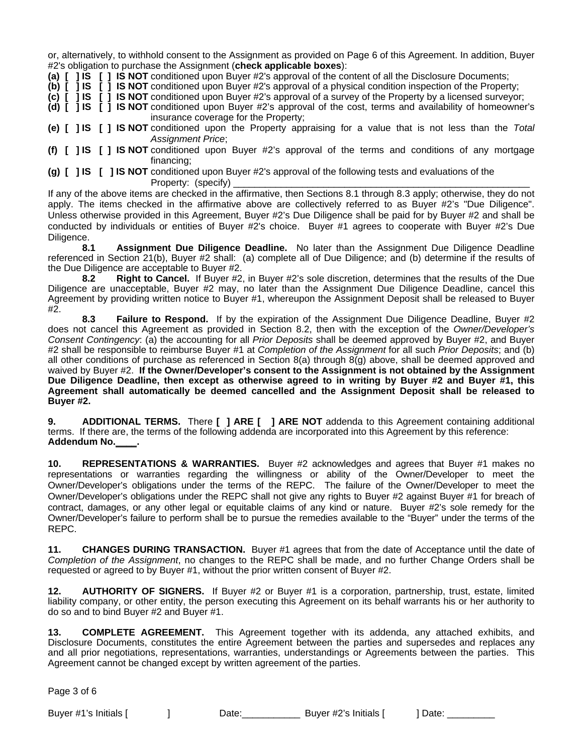or, alternatively, to withhold consent to the Assignment as provided on Page 6 of this Agreement. In addition, Buyer #2's obligation to purchase the Assignment (**check applicable boxes**):

**(a) [ ] IS [ ] IS NOT** conditioned upon Buyer #2's approval of the content of all the Disclosure Documents;

**(b) [ ] IS [ ] IS NOT** conditioned upon Buyer #2's approval of a physical condition inspection of the Property;

**(c) [ ] IS [ ] IS NOT** conditioned upon Buyer #2's approval of a survey of the Property by a licensed surveyor;

**(d) [ ] IS [ ] IS NOT** conditioned upon Buyer #2's approval of the cost, terms and availability of homeowner's insurance coverage for the Property;

**(e) [ ] IS [ ] IS NOT** conditioned upon the Property appraising for a value that is not less than the *Total Assignment Price*;

**(f) [ ] IS [ ] IS NOT** conditioned upon Buyer #2's approval of the terms and conditions of any mortgage financing;

**(g) [ ] IS [ ] IS NOT** conditioned upon Buyer #2's approval of the following tests and evaluations of the Property: (specify)

If any of the above items are checked in the affirmative, then Sections 8.1 through 8.3 apply; otherwise, they do not apply. The items checked in the affirmative above are collectively referred to as Buyer #2's "Due Diligence". Unless otherwise provided in this Agreement, Buyer #2's Due Diligence shall be paid for by Buyer #2 and shall be conducted by individuals or entities of Buyer #2's choice. Buyer #1 agrees to cooperate with Buyer #2's Due Diligence.

 **8.1 Assignment Due Diligence Deadline.** No later than the Assignment Due Diligence Deadline referenced in Section 21(b), Buyer #2 shall: (a) complete all of Due Diligence; and (b) determine if the results of the Due Diligence are acceptable to Buyer #2.

 **8.2 Right to Cancel.** If Buyer #2, in Buyer #2's sole discretion, determines that the results of the Due Diligence are unacceptable, Buyer #2 may, no later than the Assignment Due Diligence Deadline, cancel this Agreement by providing written notice to Buyer #1, whereupon the Assignment Deposit shall be released to Buyer #2.

 **8.3 Failure to Respond.** If by the expiration of the Assignment Due Diligence Deadline, Buyer #2 does not cancel this Agreement as provided in Section 8.2, then with the exception of the *Owner/Developer's Consent Contingency*: (a) the accounting for all *Prior Deposits* shall be deemed approved by Buyer #2, and Buyer #2 shall be responsible to reimburse Buyer #1 at *Completion of the Assignment* for all such *Prior Deposits*; and (b) all other conditions of purchase as referenced in Section 8(a) through 8(g) above, shall be deemed approved and waived by Buyer #2. **If the Owner/Developer's consent to the Assignment is not obtained by the Assignment Due Diligence Deadline, then except as otherwise agreed to in writing by Buyer #2 and Buyer #1, this Agreement shall automatically be deemed cancelled and the Assignment Deposit shall be released to Buyer #2.** 

**9. ADDITIONAL TERMS.** There **[ ] ARE [ ] ARE NOT** addenda to this Agreement containing additional terms. If there are, the terms of the following addenda are incorporated into this Agreement by this reference: **Addendum No.\_\_\_\_.**

**10. REPRESENTATIONS & WARRANTIES.** Buyer #2 acknowledges and agrees that Buyer #1 makes no representations or warranties regarding the willingness or ability of the Owner/Developer to meet the Owner/Developer's obligations under the terms of the REPC. The failure of the Owner/Developer to meet the Owner/Developer's obligations under the REPC shall not give any rights to Buyer #2 against Buyer #1 for breach of contract, damages, or any other legal or equitable claims of any kind or nature. Buyer #2's sole remedy for the Owner/Developer's failure to perform shall be to pursue the remedies available to the "Buyer" under the terms of the REPC.

**11. CHANGES DURING TRANSACTION.** Buyer #1 agrees that from the date of Acceptance until the date of *Completion of the Assignment*, no changes to the REPC shall be made, and no further Change Orders shall be requested or agreed to by Buyer #1, without the prior written consent of Buyer #2.

**12. AUTHORITY OF SIGNERS.** If Buyer #2 or Buyer #1 is a corporation, partnership, trust, estate, limited liability company, or other entity, the person executing this Agreement on its behalf warrants his or her authority to do so and to bind Buyer #2 and Buyer #1.

**13. COMPLETE AGREEMENT.** This Agreement together with its addenda, any attached exhibits, and Disclosure Documents, constitutes the entire Agreement between the parties and supersedes and replaces any and all prior negotiations, representations, warranties, understandings or Agreements between the parties. This Agreement cannot be changed except by written agreement of the parties.

Page 3 of 6

Buyer #1's Initials [ ] Date: Date: Let Buyer #2's Initials [ ] Date:  $\overline{a}$  Buyer #2's Initials [ ] Date: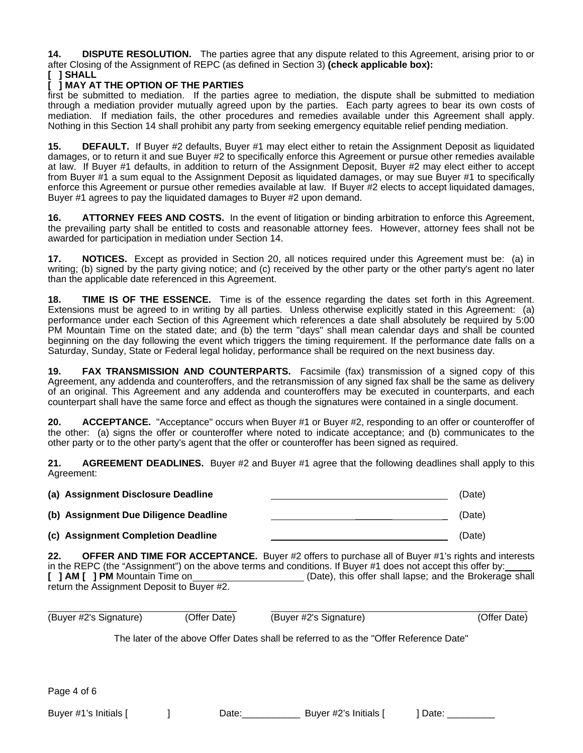**14. DISPUTE RESOLUTION.** The parties agree that any dispute related to this Agreement, arising prior to or after Closing of the Assignment of REPC (as defined in Section 3) **(check applicable box):**

#### **[ ] SHALL**

### **[ ] MAY AT THE OPTION OF THE PARTIES**

first be submitted to mediation. If the parties agree to mediation, the dispute shall be submitted to mediation through a mediation provider mutually agreed upon by the parties. Each party agrees to bear its own costs of mediation. If mediation fails, the other procedures and remedies available under this Agreement shall apply. Nothing in this Section 14 shall prohibit any party from seeking emergency equitable relief pending mediation.

**15. DEFAULT.** If Buyer #2 defaults, Buyer #1 may elect either to retain the Assignment Deposit as liquidated damages, or to return it and sue Buyer #2 to specifically enforce this Agreement or pursue other remedies available at law. If Buyer #1 defaults, in addition to return of the Assignment Deposit, Buyer #2 may elect either to accept from Buyer #1 a sum equal to the Assignment Deposit as liquidated damages, or may sue Buyer #1 to specifically enforce this Agreement or pursue other remedies available at law. If Buyer #2 elects to accept liquidated damages, Buyer #1 agrees to pay the liquidated damages to Buyer #2 upon demand.

**16. ATTORNEY FEES AND COSTS.** In the event of litigation or binding arbitration to enforce this Agreement, the prevailing party shall be entitled to costs and reasonable attorney fees. However, attorney fees shall not be awarded for participation in mediation under Section 14.

**17. NOTICES.** Except as provided in Section 20, all notices required under this Agreement must be: (a) in writing; (b) signed by the party giving notice; and (c) received by the other party or the other party's agent no later than the applicable date referenced in this Agreement.

**18. TIME IS OF THE ESSENCE.** Time is of the essence regarding the dates set forth in this Agreement. Extensions must be agreed to in writing by all parties. Unless otherwise explicitly stated in this Agreement: (a) performance under each Section of this Agreement which references a date shall absolutely be required by 5:00 PM Mountain Time on the stated date; and (b) the term "days" shall mean calendar days and shall be counted beginning on the day following the event which triggers the timing requirement. If the performance date falls on a Saturday, Sunday, State or Federal legal holiday, performance shall be required on the next business day.

**19. FAX TRANSMISSION AND COUNTERPARTS.** Facsimile (fax) transmission of a signed copy of this Agreement, any addenda and counteroffers, and the retransmission of any signed fax shall be the same as delivery of an original. This Agreement and any addenda and counteroffers may be executed in counterparts, and each counterpart shall have the same force and effect as though the signatures were contained in a single document.

**20. ACCEPTANCE.** "Acceptance" occurs when Buyer #1 or Buyer #2, responding to an offer or counteroffer of the other: (a) signs the offer or counteroffer where noted to indicate acceptance; and (b) communicates to the other party or to the other party's agent that the offer or counteroffer has been signed as required.

**21. AGREEMENT DEADLINES.** Buyer #2 and Buyer #1 agree that the following deadlines shall apply to this Agreement:

| (a) Assignment Disclosure Deadline    |  | (Date) |
|---------------------------------------|--|--------|
| (b) Assignment Due Diligence Deadline |  | (Date) |
| (c) Assignment Completion Deadline    |  | (Date) |

**22. OFFER AND TIME FOR ACCEPTANCE.** Buyer #2 offers to purchase all of Buyer #1's rights and interests in the REPC (the "Assignment") on the above terms and conditions. If Buyer #1 does not accept this offer by: **[ ] AM [ ] PM** Mountain Time on (Date), this offer shall lapse; and the Brokerage shall return the Assignment Deposit to Buyer #2.

| (Buyer #2's Signature) | (Offer Date) | (Buyer #2's Signature) | (Offer Date) |
|------------------------|--------------|------------------------|--------------|

The later of the above Offer Dates shall be referred to as the "Offer Reference Date"

Page 4 of 6

Buyer #1's Initials [  $\qquad$  ] Date: Date: Date: Date: Date: Date: Date: Date: Date: Date: Development Register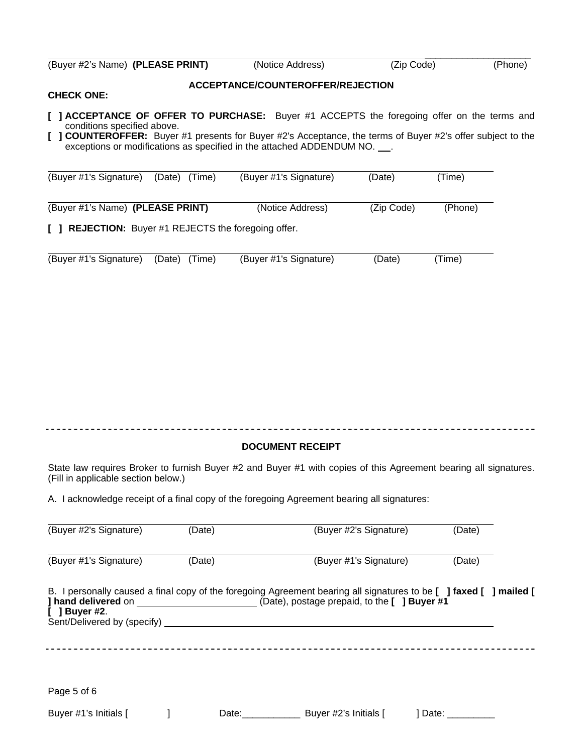| (Buyer #2's Name) (PLEASE PRINT) | (Notice Address) | (Zip Code) | (Phone) |
|----------------------------------|------------------|------------|---------|

## **ACCEPTANCE/COUNTEROFFER/REJECTION**

#### **CHECK ONE:**

- **[ ] ACCEPTANCE OF OFFER TO PURCHASE:** Buyer #1 ACCEPTS the foregoing offer on the terms and conditions specified above.
- **[ ] COUNTEROFFER:** Buyer #1 presents for Buyer #2's Acceptance, the terms of Buyer #2's offer subject to the exceptions or modifications as specified in the attached ADDENDUM NO. \_\_\_.

| (Buyer #1's Signature)                               | (Date)<br>(Time) | (Buyer #1's Signature) | (Date)     | (Time)  |  |  |
|------------------------------------------------------|------------------|------------------------|------------|---------|--|--|
| (Buyer #1's Name) (PLEASE PRINT)                     |                  | (Notice Address)       | (Zip Code) | (Phone) |  |  |
| [ ] REJECTION: Buyer #1 REJECTS the foregoing offer. |                  |                        |            |         |  |  |

| (Buyer #1's Signature) (Date) (Time) | (Buyer #1's Signature) | (Date) | (Time) |
|--------------------------------------|------------------------|--------|--------|

#### 

#### **DOCUMENT RECEIPT**

State law requires Broker to furnish Buyer #2 and Buyer #1 with copies of this Agreement bearing all signatures. (Fill in applicable section below.)

A. I acknowledge receipt of a final copy of the foregoing Agreement bearing all signatures:

| (Buyer #2's Signature)                         | (Date) |             | (Buyer #2's Signature)                                                                                             | (Date)        |  |
|------------------------------------------------|--------|-------------|--------------------------------------------------------------------------------------------------------------------|---------------|--|
| (Buyer #1's Signature)                         | (Date) |             | (Buyer #1's Signature)                                                                                             | (Date)        |  |
| $[$ ] Buyer #2.<br>Sent/Delivered by (specify) |        |             | B. I personally caused a final copy of the foregoing Agreement bearing all signatures to be [ ] faxed [ ] mailed [ |               |  |
| Page 5 of 6                                    |        |             |                                                                                                                    |               |  |
| Buyer #1's Initials [                          |        | Date: Date: | Buyer #2's Initials [                                                                                              | Date: _______ |  |